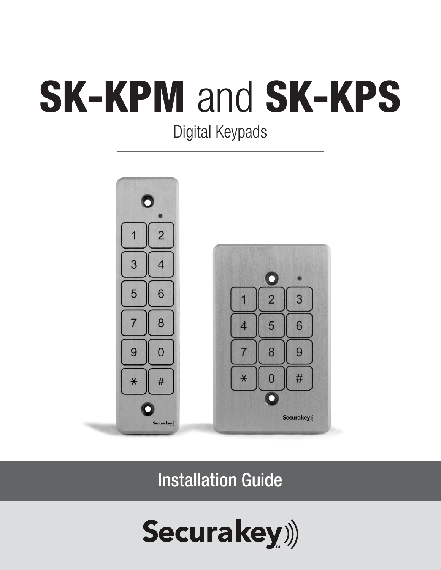# SK-KPM and SK-KPS

Digital Keypads



Installation Guide

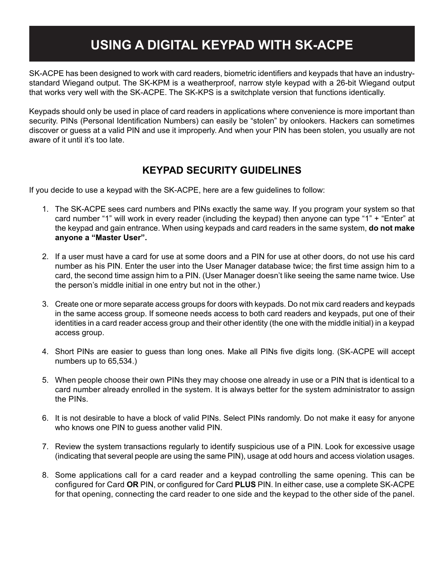### **USING A DIGITAL KEYPAD WITH SK-ACPE**

SK-ACPE has been designed to work with card readers, biometric identifiers and keypads that have an industrystandard Wiegand output. The SK-KPM is a weatherproof, narrow style keypad with a 26-bit Wiegand output that works very well with the SK-ACPE. The SK-KPS is a switchplate version that functions identically.

Keypads should only be used in place of card readers in applications where convenience is more important than security. PINs (Personal Identification Numbers) can easily be "stolen" by onlookers. Hackers can sometimes discover or guess at a valid PIN and use it improperly. And when your PIN has been stolen, you usually are not aware of it until it's too late.

#### **KEYPAD SECURITY GUIDELINES**

If you decide to use a keypad with the SK-ACPE, here are a few guidelines to follow:

- 1. The SK-ACPE sees card numbers and PINs exactly the same way. If you program your system so that card number "1" will work in every reader (including the keypad) then anyone can type "1" + "Enter" at the keypad and gain entrance. When using keypads and card readers in the same system, **do not make anyone a "Master User".**
- 2. If a user must have a card for use at some doors and a PIN for use at other doors, do not use his card number as his PIN. Enter the user into the User Manager database twice; the first time assign him to a card, the second time assign him to a PIN. (User Manager doesn't like seeing the same name twice. Use the person's middle initial in one entry but not in the other.)
- 3. Create one or more separate access groups for doors with keypads. Do not mix card readers and keypads in the same access group. If someone needs access to both card readers and keypads, put one of their identities in a card reader access group and their other identity (the one with the middle initial) in a keypad access group.
- 4. Short PINs are easier to guess than long ones. Make all PINs five digits long. (SK-ACPE will accept numbers up to 65,534.)
- 5. When people choose their own PINs they may choose one already in use or a PIN that is identical to a card number already enrolled in the system. It is always better for the system administrator to assign the PINs.
- 6. It is not desirable to have a block of valid PINs. Select PINs randomly. Do not make it easy for anyone who knows one PIN to guess another valid PIN.
- 7. Review the system transactions regularly to identify suspicious use of a PIN. Look for excessive usage (indicating that several people are using the same PIN), usage at odd hours and access violation usages.
- 8. Some applications call for a card reader and a keypad controlling the same opening. This can be configured for Card **OR** PIN, or configured for Card **PLUS** PIN. In either case, use a complete SK-ACPE for that opening, connecting the card reader to one side and the keypad to the other side of the panel.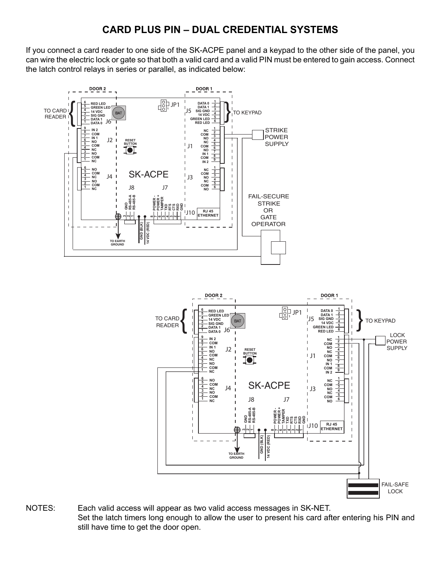#### **CARD PLUS PIN – DUAL CREDENTIAL SYSTEMS**

If you connect a card reader to one side of the SK-ACPE panel and a keypad to the other side of the panel, you can wire the electric lock or gate so that both a valid card and a valid PIN must be entered to gain access. Connect the latch control relays in series or parallel, as indicated below:





NOTES: Each valid access will appear as two valid access messages in SK-NET. Set the latch timers long enough to allow the user to present his card after entering his PIN and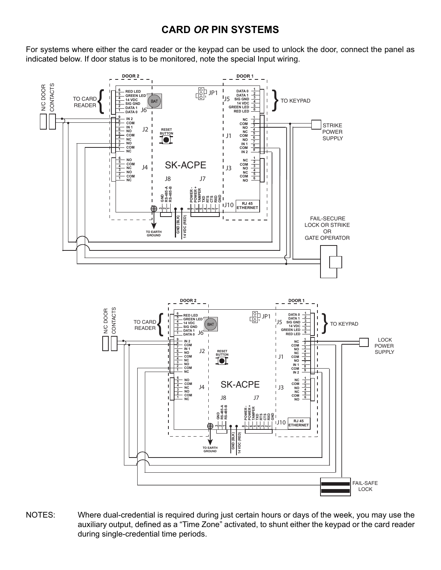#### **CARD** *OR* **PIN SYSTEMS**

For systems where either the card reader or the keypad can be used to unlock the door, connect the panel as indicated below. If door status is to be monitored, note the special Input wiring.



NOTES: Where dual-credential is required during just certain hours or days of the week, you may use the auxiliary output, defined as a "Time Zone" activated, to shunt either the keypad or the card reader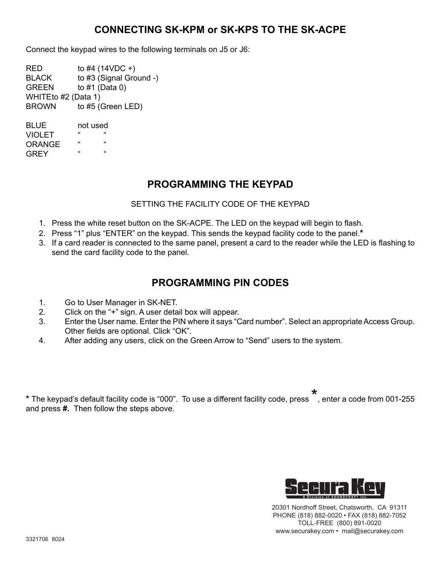#### **CONNECTING SK-KPM or SK-KPS TO THE SK-ACPE**

Connect the keypad wires to the following terminals on J5 or J6:

 $RED$  to  $#4$  (14VDC +) BLACK to #3 (Signal Ground -) GREEN to #1 (Data 0) WHITEto #2 (Data 1) BROWN to #5 (Green LED)

BLUE not used VIOLET " ORANGE " "  $G$ R $F$ Y

#### **PROGRAMMING THE KEYPAD**

#### SETTING THE FACILITY CODE OF THE KEYPAD

- 1. Press the white reset button on the SK-ACPE. The LED on the keypad will begin to flash.
- 2. Press "1" plus "ENTER" on the keypad. This sends the keypad facility code to the panel.**\***
- 3. If a card reader is connected to the same panel, present a card to the reader while the LED is flashing to send the card facility code to the panel.

#### **PROGRAMMING PIN CODES**

- 1. Go to User Manager in SK-NET.
- 2. Click on the "+" sign. A user detail box will appear.
- 3. Enter the User name. Enter the PIN where it says "Card number". Select an appropriate Access Group. Other fields are optional. Click "OK".
- 4. After adding any users, click on the Green Arrow to "Send" users to the system.

**\*** The keypad's default facility code is "000". To use a different facility code, press \* , enter a code from 001-255 and press **#.** Then follow the steps above.



20301 Nordhoff Street, Chatsworth, CA 91311 PHONE (818) 882-0020 • FAX (818) 882-7052 TOLL-FREE (800) 891-0020 www.securakey.com • mail@securakey.com